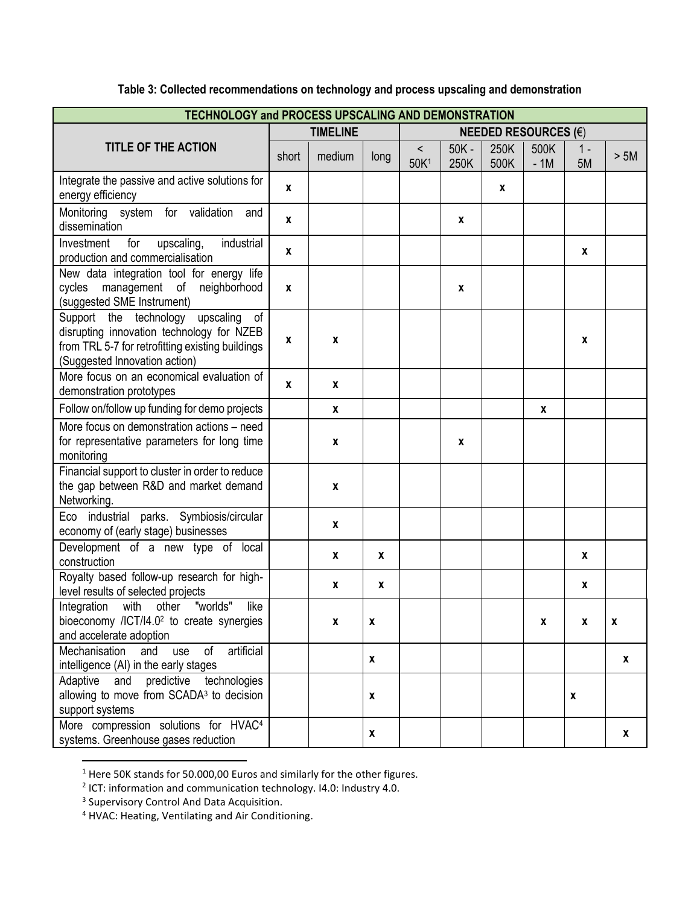| <b>TECHNOLOGY and PROCESS UPSCALING AND DEMONSTRATION</b>                                                                                                                   |                 |        |      |                             |                 |              |               |              |      |  |
|-----------------------------------------------------------------------------------------------------------------------------------------------------------------------------|-----------------|--------|------|-----------------------------|-----------------|--------------|---------------|--------------|------|--|
| <b>TITLE OF THE ACTION</b>                                                                                                                                                  | <b>TIMELINE</b> |        |      | <b>NEEDED RESOURCES (€)</b> |                 |              |               |              |      |  |
|                                                                                                                                                                             | short           | medium | long | $\,<\,$<br>50K <sup>1</sup> | $50K -$<br>250K | 250K<br>500K | 500K<br>$-1M$ | $1 -$<br>5M  | > 5M |  |
| Integrate the passive and active solutions for<br>energy efficiency                                                                                                         | $\mathbf{x}$    |        |      |                             |                 | $\mathbf{x}$ |               |              |      |  |
| Monitoring system for validation<br>and<br>dissemination                                                                                                                    | $\mathbf{x}$    |        |      |                             | X               |              |               |              |      |  |
| industrial<br>for<br>upscaling,<br>Investment<br>production and commercialisation                                                                                           | $\mathbf{x}$    |        |      |                             |                 |              |               | $\mathbf{x}$ |      |  |
| New data integration tool for energy life<br>management of<br>cycles<br>neighborhood<br>(suggested SME Instrument)                                                          | $\mathbf{x}$    |        |      |                             | X               |              |               |              |      |  |
| Support the technology<br>upscaling<br>оf<br>disrupting innovation technology for NZEB<br>from TRL 5-7 for retrofitting existing buildings<br>(Suggested Innovation action) | X               | X      |      |                             |                 |              |               | X            |      |  |
| More focus on an economical evaluation of<br>demonstration prototypes                                                                                                       | $\mathbf{x}$    | X      |      |                             |                 |              |               |              |      |  |
| Follow on/follow up funding for demo projects                                                                                                                               |                 | X      |      |                             |                 |              | X             |              |      |  |
| More focus on demonstration actions - need<br>for representative parameters for long time<br>monitoring                                                                     |                 | X      |      |                             | X               |              |               |              |      |  |
| Financial support to cluster in order to reduce<br>the gap between R&D and market demand<br>Networking.                                                                     |                 | X      |      |                             |                 |              |               |              |      |  |
| Eco industrial parks. Symbiosis/circular<br>economy of (early stage) businesses                                                                                             |                 | X      |      |                             |                 |              |               |              |      |  |
| Development of a new type of local<br>construction                                                                                                                          |                 | X      | X    |                             |                 |              |               | X            |      |  |
| Royalty based follow-up research for high-<br>level results of selected projects                                                                                            |                 | X      | X    |                             |                 |              |               | X            |      |  |
| "worlds"<br>with<br>like<br>Integration<br>other<br>bioeconomy /ICT/I4.0 <sup>2</sup> to create synergies<br>and accelerate adoption                                        |                 | X      | X    |                             |                 |              | X             | X            | X    |  |
| artificial<br>Mechanisation<br>and<br>use<br>of<br>intelligence (AI) in the early stages                                                                                    |                 |        | X    |                             |                 |              |               |              | X    |  |
| Adaptive and predictive technologies<br>allowing to move from SCADA <sup>3</sup> to decision<br>support systems                                                             |                 |        | x    |                             |                 |              |               | X            |      |  |
| More compression solutions for HVAC <sup>4</sup><br>systems. Greenhouse gases reduction                                                                                     |                 |        | X    |                             |                 |              |               |              | X    |  |

## **Table 3: Collected recommendations on technology and process upscaling and demonstration**

 $\overline{a}$ 

<sup>&</sup>lt;sup>1</sup> Here 50K stands for 50.000,00 Euros and similarly for the other figures.<br><sup>2</sup> ICT: information and communication technology. I4.0: Industry 4.0.

<sup>&</sup>lt;sup>3</sup> Supervisory Control And Data Acquisition.

<sup>&</sup>lt;sup>4</sup> HVAC: Heating, Ventilating and Air Conditioning.